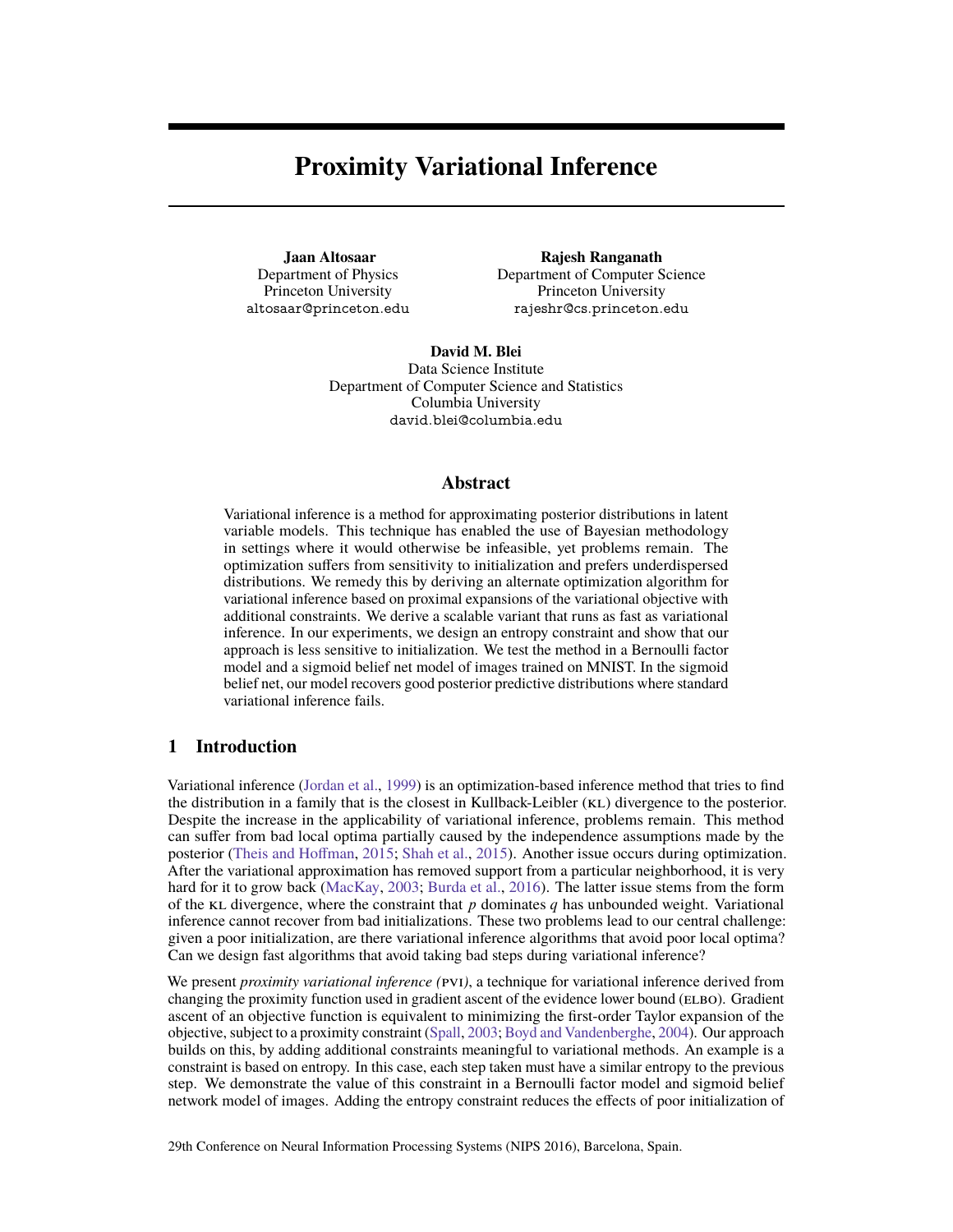# <span id="page-0-0"></span>**Proximity Variational Inference**

**Jaan Altosaar** Department of Physics Princeton University altosaar@princeton.edu

**Rajesh Ranganath** Department of Computer Science Princeton University rajeshr@cs.princeton.edu

**David M. Blei** Data Science Institute Department of Computer Science and Statistics Columbia University david.blei@columbia.edu

### **Abstract**

Variational inference is a method for approximating posterior distributions in latent variable models. This technique has enabled the use of Bayesian methodology in settings where it would otherwise be infeasible, yet problems remain. The optimization suffers from sensitivity to initialization and prefers underdispersed distributions. We remedy this by deriving an alternate optimization algorithm for variational inference based on proximal expansions of the variational objective with additional constraints. We derive a scalable variant that runs as fast as variational inference. In our experiments, we design an entropy constraint and show that our approach is less sensitive to initialization. We test the method in a Bernoulli factor model and a sigmoid belief net model of images trained on MNIST. In the sigmoid belief net, our model recovers good posterior predictive distributions where standard variational inference fails.

## **1 Introduction**

Variational inference [\(Jordan et al.,](#page-4-0) [1999\)](#page-4-0) is an optimization-based inference method that tries to find the distribution in a family that is the closest in Kullback-Leibler (kl) divergence to the posterior. Despite the increase in the applicability of variational inference, problems remain. This method can suffer from bad local optima partially caused by the independence assumptions made by the posterior [\(Theis and Hoffman,](#page-4-1) [2015;](#page-4-1) [Shah et al.,](#page-4-2) [2015\)](#page-4-2). Another issue occurs during optimization. After the variational approximation has removed support from a particular neighborhood, it is very hard for it to grow back [\(MacKay,](#page-4-3) [2003;](#page-4-3) [Burda et al.,](#page-4-4) [2016\)](#page-4-4). The latter issue stems from the form of the KL divergence, where the constraint that  $p$  dominates  $q$  has unbounded weight. Variational inference cannot recover from bad initializations. These two problems lead to our central challenge: given a poor initialization, are there variational inference algorithms that avoid poor local optima? Can we design fast algorithms that avoid taking bad steps during variational inference?

We present *proximity variational inference (*pvi*)*, a technique for variational inference derived from changing the proximity function used in gradient ascent of the evidence lower bound (ELBO). Gradient ascent of an objective function is equivalent to minimizing the first-order Taylor expansion of the objective, subject to a proximity constraint [\(Spall,](#page-4-5) [2003;](#page-4-5) [Boyd and Vandenberghe,](#page-4-6) [2004\)](#page-4-6). Our approach builds on this, by adding additional constraints meaningful to variational methods. An example is a constraint is based on entropy. In this case, each step taken must have a similar entropy to the previous step. We demonstrate the value of this constraint in a Bernoulli factor model and sigmoid belief network model of images. Adding the entropy constraint reduces the effects of poor initialization of

29th Conference on Neural Information Processing Systems (NIPS 2016), Barcelona, Spain.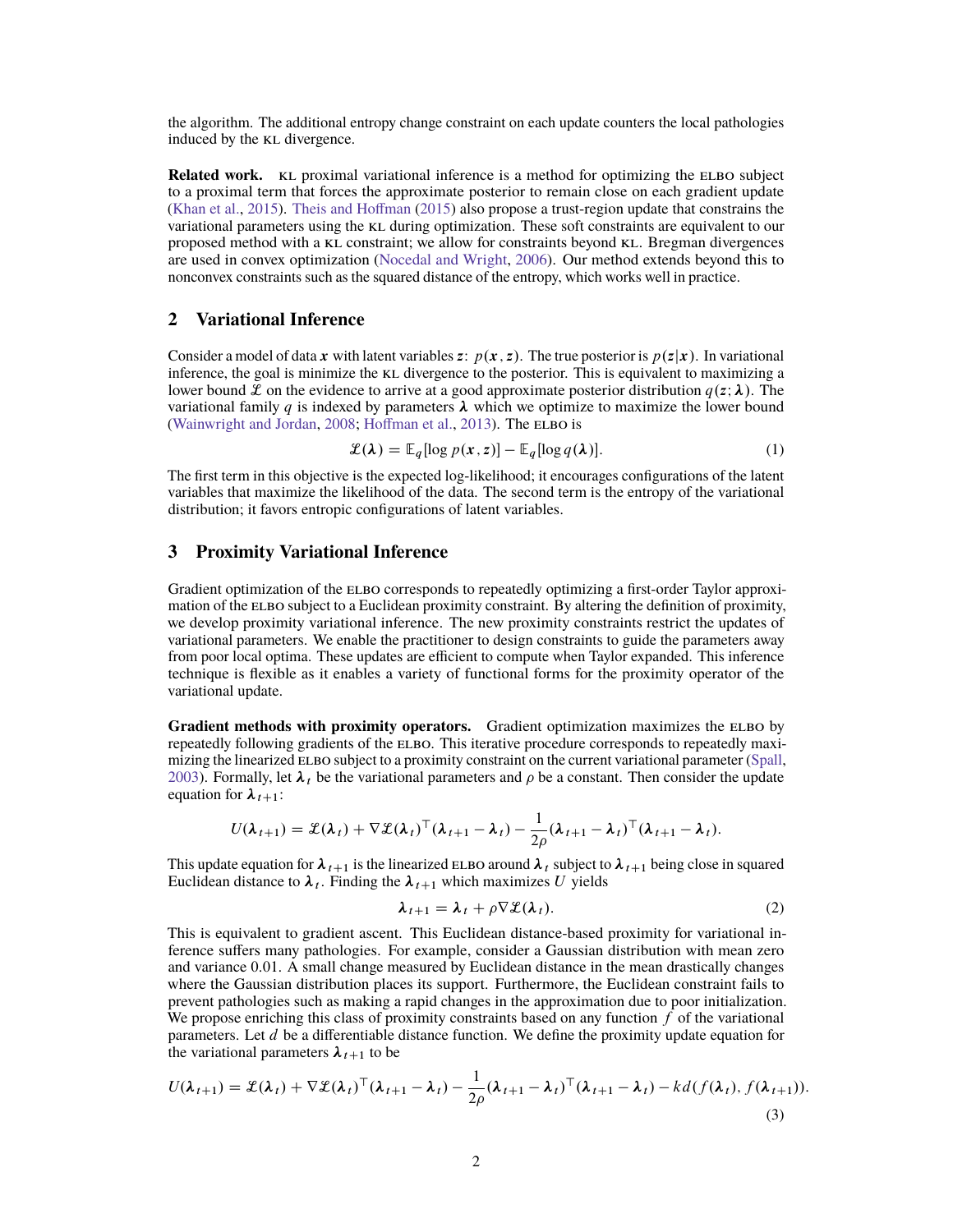the algorithm. The additional entropy change constraint on each update counters the local pathologies induced by the KL divergence.

**Related work.** KL proximal variational inference is a method for optimizing the ELBO subject to a proximal term that forces the approximate posterior to remain close on each gradient update [\(Khan et al.,](#page-4-7) [2015\)](#page-4-7). [Theis and Hoffman](#page-4-1) [\(2015\)](#page-4-1) also propose a trust-region update that constrains the variational parameters using the [kl](#page-0-0) during optimization. These soft constraints are equivalent to our proposed method with a [kl](#page-0-0) constraint; we allow for constraints beyond [kl](#page-0-0). Bregman divergences are used in convex optimization [\(Nocedal and Wright,](#page-4-8) [2006\)](#page-4-8). Our method extends beyond this to nonconvex constraints such as the squared distance of the entropy, which works well in practice.

# **2 Variational Inference**

Consider a model of data x with latent variables z:  $p(x, z)$ . The true posterior is  $p(z|x)$ . In variational inference, the goal is minimize the KL divergence to the posterior. This is equivalent to maximizing a lower bound L on the evidence to arrive at a good approximate posterior distribution  $q(z; \lambda)$ . The variational family q is indexed by parameters  $\lambda$  which we optimize to maximize the lower bound [\(Wainwright and Jordan,](#page-4-9) [2008;](#page-4-9) [Hoffman et al.,](#page-4-10) [2013\)](#page-4-10). The ELBO is

<span id="page-1-2"></span>
$$
\mathcal{L}(\lambda) = \mathbb{E}_q[\log p(\mathbf{x}, z)] - \mathbb{E}_q[\log q(\lambda)].
$$
\n(1)

The first term in this objective is the expected log-likelihood; it encourages configurations of the latent variables that maximize the likelihood of the data. The second term is the entropy of the variational distribution; it favors entropic configurations of latent variables.

#### **3 Proximity Variational Inference**

Gradient optimization of the [elbo](#page-0-0) corresponds to repeatedly optimizing a first-order Taylor approximation of the ELBO subject to a Euclidean proximity constraint. By altering the definition of proximity, we develop proximity variational inference. The new proximity constraints restrict the updates of variational parameters. We enable the practitioner to design constraints to guide the parameters away from poor local optima. These updates are efficient to compute when Taylor expanded. This inference technique is flexible as it enables a variety of functional forms for the proximity operator of the variational update.

**Gradient methods with proximity operators.** Gradient optimization maximizes the ELBO by repeatedly following gradients of the ELBO. This iterative procedure corresponds to repeatedly maxi-mizing the linearized ELBO subject to a proximity constraint on the current variational parameter [\(Spall,](#page-4-5) [2003\)](#page-4-5). Formally, let  $\lambda_t$  be the variational parameters and  $\rho$  be a constant. Then consider the update equation for  $\lambda_{t+1}$ :

$$
U(\boldsymbol{\lambda}_{t+1}) = \mathcal{L}(\boldsymbol{\lambda}_t) + \nabla \mathcal{L}(\boldsymbol{\lambda}_t)^{\top}(\boldsymbol{\lambda}_{t+1} - \boldsymbol{\lambda}_t) - \frac{1}{2\rho}(\boldsymbol{\lambda}_{t+1} - \boldsymbol{\lambda}_t)^{\top}(\boldsymbol{\lambda}_{t+1} - \boldsymbol{\lambda}_t).
$$

This update equation for  $\lambda_{t+1}$  is the linearized ELBO around  $\lambda_t$  subject to  $\lambda_{t+1}$  being close in squared Euclidean distance to  $\lambda_t$ . Finding the  $\lambda_{t+1}$  which maximizes U yields

<span id="page-1-1"></span><span id="page-1-0"></span>
$$
\lambda_{t+1} = \lambda_t + \rho \nabla \mathcal{L}(\lambda_t). \tag{2}
$$

This is equivalent to gradient ascent. This Euclidean distance-based proximity for variational inference suffers many pathologies. For example, consider a Gaussian distribution with mean zero and variance 0:01. A small change measured by Euclidean distance in the mean drastically changes where the Gaussian distribution places its support. Furthermore, the Euclidean constraint fails to prevent pathologies such as making a rapid changes in the approximation due to poor initialization. We propose enriching this class of proximity constraints based on any function  $f$  of the variational parameters. Let  $d$  be a differentiable distance function. We define the proximity update equation for the variational parameters  $\lambda_{t+1}$  to be

$$
U(\boldsymbol{\lambda}_{t+1}) = \mathcal{L}(\boldsymbol{\lambda}_t) + \nabla \mathcal{L}(\boldsymbol{\lambda}_t)^{\top} (\boldsymbol{\lambda}_{t+1} - \boldsymbol{\lambda}_t) - \frac{1}{2\rho} (\boldsymbol{\lambda}_{t+1} - \boldsymbol{\lambda}_t)^{\top} (\boldsymbol{\lambda}_{t+1} - \boldsymbol{\lambda}_t) - k d(f(\boldsymbol{\lambda}_t), f(\boldsymbol{\lambda}_{t+1})).
$$
\n(3)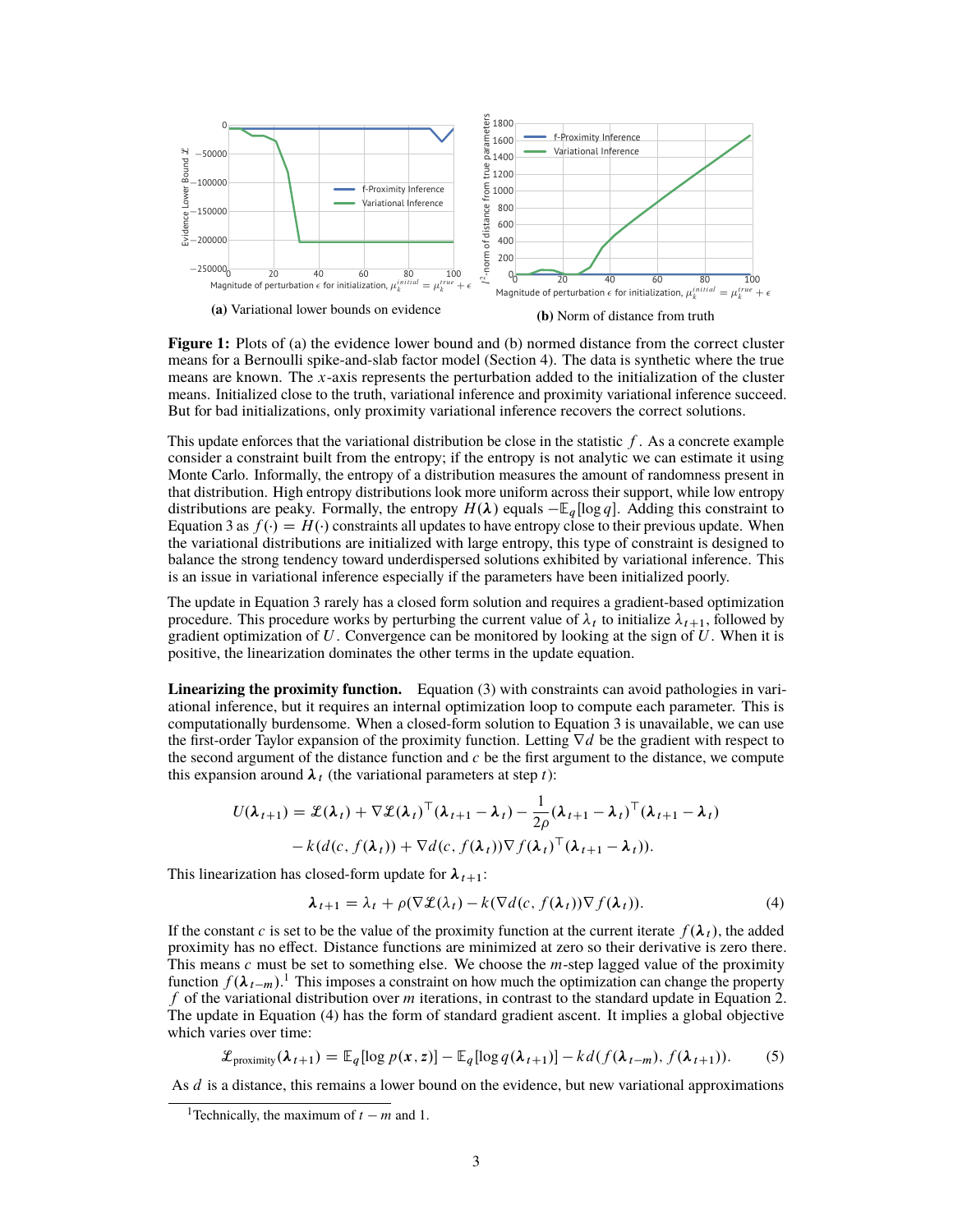<span id="page-2-3"></span>

**Figure 1:** Plots of (a) the evidence lower bound and (b) normed distance from the correct cluster means for a Bernoulli spike-and-slab factor model (Section [4\)](#page-3-0). The data is synthetic where the true means are known. The x-axis represents the perturbation added to the initialization of the cluster means. Initialized close to the truth, variational inference and proximity variational inference succeed. But for bad initializations, only proximity variational inference recovers the correct solutions.

This update enforces that the variational distribution be close in the statistic  $f$ . As a concrete example consider a constraint built from the entropy; if the entropy is not analytic we can estimate it using Monte Carlo. Informally, the entropy of a distribution measures the amount of randomness present in that distribution. High entropy distributions look more uniform across their support, while low entropy distributions are peaky. Formally, the entropy  $H(\lambda)$  equals  $-\mathbb{E}_q[\log q]$ . Adding this constraint to Equation [3](#page-1-0) as  $f(\cdot) = H(\cdot)$  constraints all updates to have entropy close to their previous update. When the variational distributions are initialized with large entropy, this type of constraint is designed to balance the strong tendency toward underdispersed solutions exhibited by variational inference. This is an issue in variational inference especially if the parameters have been initialized poorly.

The update in Equation [3](#page-1-0) rarely has a closed form solution and requires a gradient-based optimization procedure. This procedure works by perturbing the current value of  $\lambda_t$  to initialize  $\lambda_{t+1}$ , followed by gradient optimization of U. Convergence can be monitored by looking at the sign of U. When it is positive, the linearization dominates the other terms in the update equation.

**Linearizing the proximity function.** [Equation \(3\)](#page-1-0) with constraints can avoid pathologies in variational inference, but it requires an internal optimization loop to compute each parameter. This is computationally burdensome. When a closed-form solution to Equation [3](#page-1-0) is unavailable, we can use the first-order Taylor expansion of the proximity function. Letting  $\nabla d$  be the gradient with respect to the second argument of the distance function and  $c$  be the first argument to the distance, we compute this expansion around  $\lambda_t$  (the variational parameters at step t):

$$
U(\lambda_{t+1}) = \mathcal{L}(\lambda_t) + \nabla \mathcal{L}(\lambda_t)^{\top} (\lambda_{t+1} - \lambda_t) - \frac{1}{2\rho} (\lambda_{t+1} - \lambda_t)^{\top} (\lambda_{t+1} - \lambda_t)
$$

$$
-k(d(c, f(\lambda_t)) + \nabla d(c, f(\lambda_t))^{\top} (\lambda_t)^{\top} (\lambda_{t+1} - \lambda_t)).
$$

This linearization has closed-form update for  $\lambda_{t+1}$ :

<span id="page-2-2"></span><span id="page-2-1"></span>
$$
\lambda_{t+1} = \lambda_t + \rho(\nabla \mathcal{L}(\lambda_t) - k(\nabla d(c, f(\lambda_t)) \nabla f(\lambda_t)).
$$
\n(4)

If the constant c is set to be the value of the proximity function at the current iterate  $f(\lambda_t)$ , the added proximity has no effect. Distance functions are minimized at zero so their derivative is zero there. This means  $c$  must be set to something else. We choose the *m*-step lagged value of the proximity function  $f(\lambda_{t-m})$ .<sup>[1](#page-2-0)</sup> This imposes a constraint on how much the optimization can change the property f of the variational distribution over  $m$  iterations, in contrast to the standard update in Equation [2.](#page-1-1) The update in [Equation \(4\)](#page-2-1) has the form of standard gradient ascent. It implies a global objective which varies over time:

$$
\mathcal{L}_{\text{proximity}}(\lambda_{t+1}) = \mathbb{E}_q[\log p(\mathbf{x}, \mathbf{z})] - \mathbb{E}_q[\log q(\lambda_{t+1})] - kd(f(\lambda_{t-m}), f(\lambda_{t+1})).
$$
 (5)

As d is a distance, this remains a lower bound on the evidence, but new variational approximations

<span id="page-2-0"></span><sup>&</sup>lt;sup>1</sup>Technically, the maximum of  $t - m$  and 1.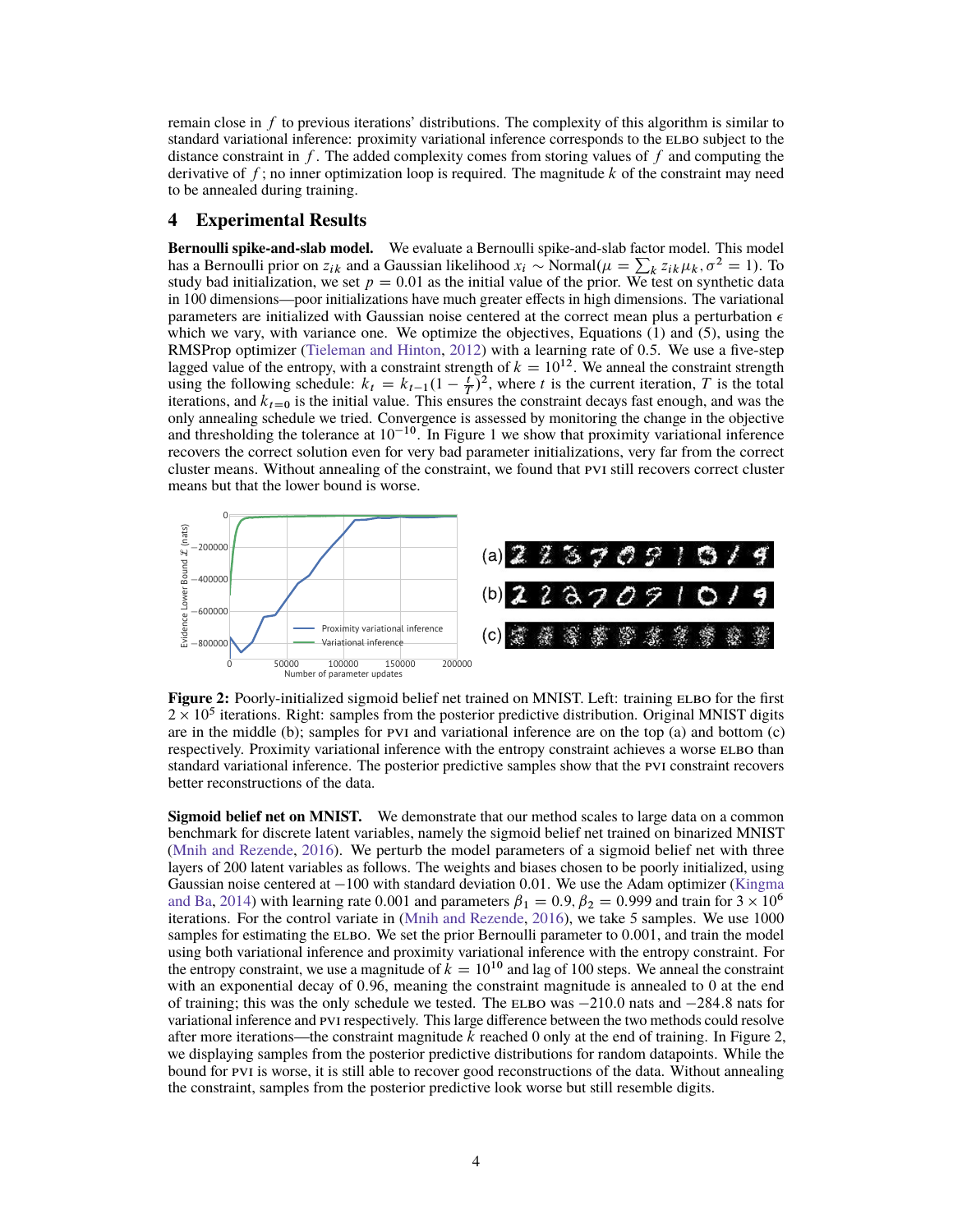remain close in  $f$  to previous iterations' distributions. The complexity of this algorithm is similar to standard variational inference: proximity variational inference corresponds to the ELBO subject to the distance constraint in f. The added complexity comes from storing values of f and computing the derivative of  $f$ ; no inner optimization loop is required. The magnitude  $k$  of the constraint may need to be annealed during training.

#### <span id="page-3-0"></span>**4 Experimental Results**

**Bernoulli spike-and-slab model.** We evaluate a Bernoulli spike-and-slab factor model. This model has a Bernoulli prior on  $z_{ik}$  and a Gaussian likelihood  $x_i \sim \text{Normal}(\mu = \sum_k z_{ik} \mu_k, \sigma^2 = 1)$ . To study bad initialization, we set  $p = 0.01$  as the initial value of the prior. We test on synthetic data in 100 dimensions—poor initializations have much greater effects in high dimensions. The variational parameters are initialized with Gaussian noise centered at the correct mean plus a perturbation  $\epsilon$ which we vary, with variance one. We optimize the objectives, [Equations \(1\)](#page-1-2) and [\(5\),](#page-2-2) using the RMSProp optimizer [\(Tieleman and Hinton,](#page-4-11) [2012\)](#page-4-11) with a learning rate of 0.5. We use a five-step lagged value of the entropy, with a constraint strength of  $k = 10^{12}$ . We anneal the constraint strength using the following schedule:  $k_t = k_{t-1} (1 - \frac{t}{T})^2$ , where t is the current iteration, T is the total iterations, and  $k_{t=0}$  is the initial value. This ensures the constraint decays fast enough, and was the only annealing schedule we tried. Convergence is assessed by monitoring the change in the objective and thresholding the tolerance at  $10^{-10}$  $10^{-10}$ . In Figure 1 we show that proximity variational inference recovers the correct solution even for very bad parameter initializations, very far from the correct cluster means. Without annealing of the constraint, we found that [pvi](#page-0-0) still recovers correct cluster means but that the lower bound is worse.

<span id="page-3-1"></span>

**Figure 2:** Poorly-initialized sigmoid belief net trained on MNIST. Left: training ELBO for the first  $2 \times 10^5$  iterations. Right: samples from the posterior predictive distribution. Original MNIST digits are in the middle (b); samples for [pvi](#page-0-0) and variational inference are on the top (a) and bottom (c) respectively. Proximity variational inference with the entropy constraint achieves a worse ELBO than standard variational inference. The posterior predictive samples show that the [pvi](#page-0-0) constraint recovers better reconstructions of the data.

**Sigmoid belief net on MNIST.** We demonstrate that our method scales to large data on a common benchmark for discrete latent variables, namely the sigmoid belief net trained on binarized MNIST [\(Mnih and Rezende,](#page-4-12) [2016\)](#page-4-12). We perturb the model parameters of a sigmoid belief net with three layers of 200 latent variables as follows. The weights and biases chosen to be poorly initialized, using Gaussian noise centered at  $-100$  with standard deviation 0.01. We use the Adam optimizer [\(Kingma](#page-4-13) [and Ba,](#page-4-13) [2014\)](#page-4-13) with learning rate 0.001 and parameters  $\beta_1 = 0.9$ ,  $\beta_2 = 0.999$  and train for  $3 \times 10^6$ iterations. For the control variate in [\(Mnih and Rezende,](#page-4-12) [2016\)](#page-4-12), we take 5 samples. We use 1000 samples for estimating the ELBO. We set the prior Bernoulli parameter to  $0.001$ , and train the model using both variational inference and proximity variational inference with the entropy constraint. For the entropy constraint, we use a magnitude of  $k = 10^{10}$  and lag of 100 steps. We anneal the constraint with an exponential decay of 0:96, meaning the constraint magnitude is annealed to 0 at the end of training; this was the only schedule we tested. The ELBO was  $-210.0$  nats and  $-284.8$  nats for variational inference and [pvi](#page-0-0) respectively. This large difference between the two methods could resolve after more iterations—the constraint magnitude  $k$  reached 0 only at the end of training. In Figure [2,](#page-3-1) we displaying samples from the posterior predictive distributions for random datapoints. While the bound for [pvi](#page-0-0) is worse, it is still able to recover good reconstructions of the data. Without annealing the constraint, samples from the posterior predictive look worse but still resemble digits.